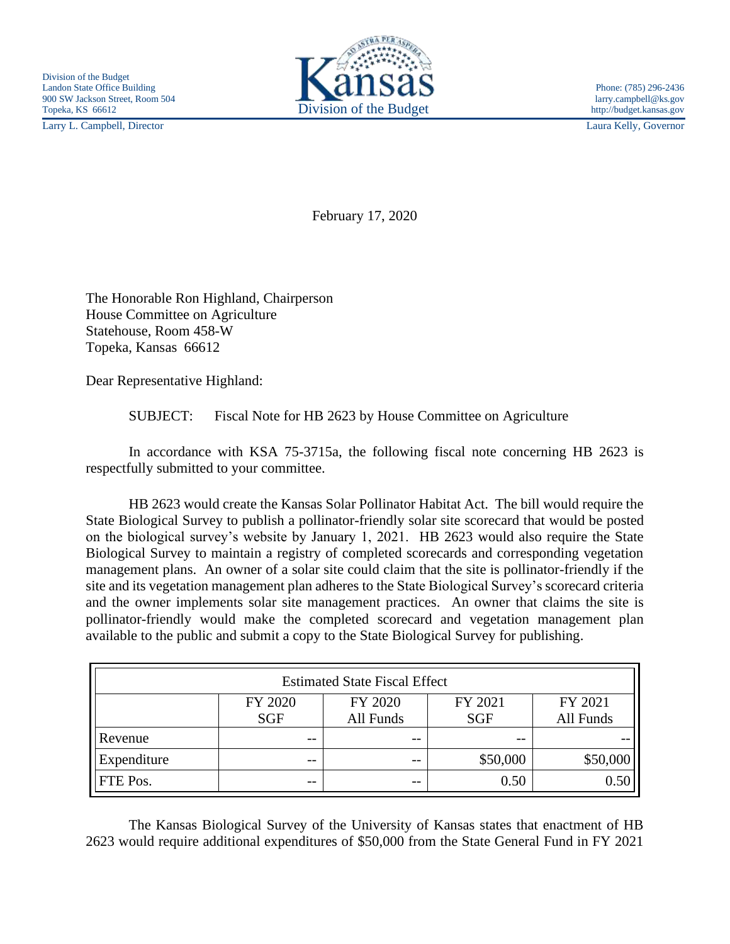Larry L. Campbell, Director Laura Kelly, Governor



February 17, 2020

The Honorable Ron Highland, Chairperson House Committee on Agriculture Statehouse, Room 458-W Topeka, Kansas 66612

Dear Representative Highland:

SUBJECT: Fiscal Note for HB 2623 by House Committee on Agriculture

In accordance with KSA 75-3715a, the following fiscal note concerning HB 2623 is respectfully submitted to your committee.

HB 2623 would create the Kansas Solar Pollinator Habitat Act. The bill would require the State Biological Survey to publish a pollinator-friendly solar site scorecard that would be posted on the biological survey's website by January 1, 2021. HB 2623 would also require the State Biological Survey to maintain a registry of completed scorecards and corresponding vegetation management plans. An owner of a solar site could claim that the site is pollinator-friendly if the site and its vegetation management plan adheres to the State Biological Survey's scorecard criteria and the owner implements solar site management practices. An owner that claims the site is pollinator-friendly would make the completed scorecard and vegetation management plan available to the public and submit a copy to the State Biological Survey for publishing.

| <b>Estimated State Fiscal Effect</b> |                       |                      |                       |                      |
|--------------------------------------|-----------------------|----------------------|-----------------------|----------------------|
|                                      | FY 2020<br><b>SGF</b> | FY 2020<br>All Funds | FY 2021<br><b>SGF</b> | FY 2021<br>All Funds |
| Revenue                              | $- -$                 | $- -$                | $- -$                 |                      |
| Expenditure                          | --                    | $- -$                | \$50,000              | \$50,000             |
| FTE Pos.                             | $- -$                 | $- -$                | 0.50                  | 0.50                 |

The Kansas Biological Survey of the University of Kansas states that enactment of HB 2623 would require additional expenditures of \$50,000 from the State General Fund in FY 2021